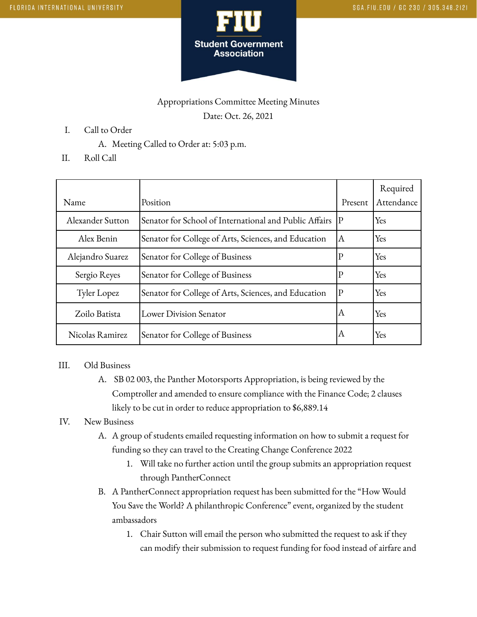

## Appropriations Committee Meeting Minutes Date: Oct. 26, 2021

- I. Call to Order
	- A. Meeting Called to Order at: 5:03 p.m.
- II. Roll Call

|                  |                                                        |             | Required   |
|------------------|--------------------------------------------------------|-------------|------------|
| Name             | Position                                               | Present     | Attendance |
| Alexander Sutton | Senator for School of International and Public Affairs | P           | Yes        |
| Alex Benin       | Senator for College of Arts, Sciences, and Education   | ΙA          | Yes        |
| Alejandro Suarez | Senator for College of Business                        |             | Yes        |
| Sergio Reyes     | Senator for College of Business                        | $\mathbf P$ | Yes        |
| Tyler Lopez      | Senator for College of Arts, Sciences, and Education   | ΙP          | Yes        |
| Zoilo Batista    | Lower Division Senator                                 | ΙA          | Yes        |
| Nicolas Ramirez  | Senator for College of Business                        | ΙA          | Yes        |

## III. Old Business

A. SB 02 003, the Panther Motorsports Appropriation, is being reviewed by the Comptroller and amended to ensure compliance with the Finance Code; 2 clauses likely to be cut in order to reduce appropriation to \$6,889.14

## IV. New Business

- A. A group of students emailed requesting information on how to submit a request for funding so they can travel to the Creating Change Conference 2022
	- 1. Will take no further action until the group submits an appropriation request through PantherConnect
- B. A PantherConnect appropriation request has been submitted for the "How Would You Save the World? A philanthropic Conference" event, organized by the student ambassadors
	- 1. Chair Sutton will email the person who submitted the request to ask if they can modify their submission to request funding for food instead of airfare and